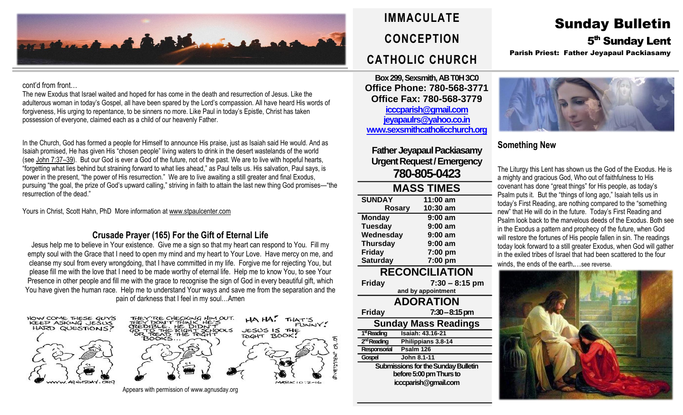

### cont'd from front…

The new Exodus that Israel waited and hoped for has come in the death and resurrection of Jesus. Like the adulterous woman in today's Gospel, all have been spared by the Lord's compassion. All have heard His words of forgiveness, His urging to repentance, to be sinners no more. Like Paul in today's Epistle, Christ has taken possession of everyone, claimed each as a child of our heavenly Father.

In the Church, God has formed a people for Himself to announce His praise, just as Isaiah said He would. And as Isaiah promised, He has given His "chosen people" living waters to drink in the desert wastelands of the world (see [John](https://biblia.com/bible/rsvce/John%207.37%E2%80%9339) 7:37–39). But our God is ever a God of the future, not of the past. We are to live with hopeful hearts, "forgetting what lies behind but straining forward to what lies ahead," as Paul tells us. His salvation, Paul says, is power in the present, "the power of His resurrection." We are to live awaiting a still greater and final Exodus, pursuing "the goal, the prize of God's upward calling," striving in faith to attain the last new thing God promises—"the resurrection of the dead."

Yours in Christ, Scott Hahn, PhD More information a[t www.stpaulcenter.com](http://www.stpaulcenter.com/)

## **Crusade Prayer (165) For the Gift of Eternal Life**

Jesus help me to believe in Your existence. Give me a sign so that my heart can respond to You. Fill my empty soul with the Grace that I need to open my mind and my heart to Your Love. Have mercy on me, and cleanse my soul from every wrongdoing, that I have committed in my life. Forgive me for rejecting You, but please fill me with the love that I need to be made worthy of eternal life. Help me to know You, to see Your Presence in other people and fill me with the grace to recognise the sign of God in every beautiful gift, which You have given the human race. Help me to understand Your ways and save me from the separation and the pain of darkness that I feel in my soul…Amen

CHECKING HIM OUT.

 $\mathsf{A} \mathsf{H} \mathsf{A}$ 

JESUS IS THE RIGHT BOOK!

THAT'S





Appears with permission of www.agnusday.org



**Box 299, Sexsmith, AB T0H 3C0 Office Phone: 780-568-3771 Office Fax: 780-568-3779 [icccparish@gmail.com](mailto:icccparish@gmail.com) [jeyapaulrs@yahoo.co.in](mailto:jeyapaulrs@yahoo.co.in) [www.sexsmithcatholicchurch.org](http://www.sexsmithcatholicchurch.org/)**

**Father Jeyapaul Packiasamy Urgent Request/Emergency 780-805-0423**

| <b>MASS TIMES</b> |           |  |  |  |
|-------------------|-----------|--|--|--|
| <b>SUNDAY</b>     | 11:00 am  |  |  |  |
| <b>Rosary</b>     | 10:30 am  |  |  |  |
| <b>Monday</b>     | $9:00$ am |  |  |  |
| <b>Tuesday</b>    | $9:00$ am |  |  |  |
| Wednesday         | $9:00$ am |  |  |  |
| <b>Thursday</b>   | $9:00$ am |  |  |  |
| <b>Friday</b>     | 7:00 pm   |  |  |  |
| <b>Saturday</b>   | 7:00 pm   |  |  |  |

## **RECONCILIATION**

**Friday 7:30 – 8:15 pm and by appointment ADORATION Friday 7:30–8:15 pm Sunday Mass Readings** 1<sup>st</sup> Reading **stReading Isaiah: 43.16-21** 2<sup>nd</sup> Reading **Philippians 3.8-14 Responsorial Psalm 126 Gospel John 8.1-11 Submissions for the Sunday Bulletin before 5:00 pm Thursto icccparish@gmail.com**

## Sunday Bulletin 5<sup>th</sup> Sunday Lent Parish Priest: Father Jeyapaul Packiasamy



## **Something New**

The Liturgy this Lent has shown us the God of the Exodus. He is a mighty and gracious God, Who out of faithfulness to His covenant has done "great things" for His people, as today's Psalm puts it. But the "things of long ago," Isaiah tells us in today's First Reading, are nothing compared to the "something new" that He will do in the future. Today's First Reading and Psalm look back to the marvelous deeds of the Exodus. Both see in the Exodus a pattern and prophecy of the future, when God will restore the fortunes of His people fallen in sin. The readings today look forward to a still greater Exodus, when God will gather in the exiled tribes of Israel that had been scattered to the four winds, the ends of the earth.…see reverse.